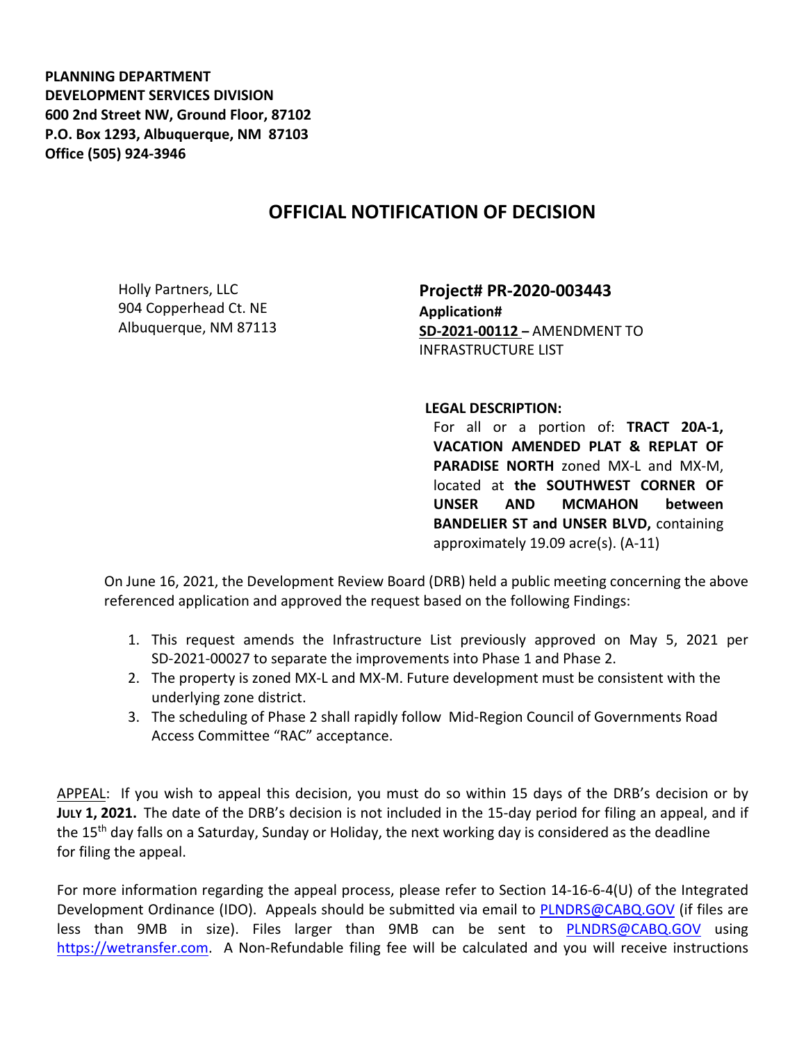**PLANNING DEPARTMENT DEVELOPMENT SERVICES DIVISION 600 2nd Street NW, Ground Floor, 87102 P.O. Box 1293, Albuquerque, NM 87103 Office (505) 924-3946** 

## **OFFICIAL NOTIFICATION OF DECISION**

Holly Partners, LLC 904 Copperhead Ct. NE Albuquerque, NM 87113 **Project# PR-2020-003443 Application# SD-2021-00112 –** AMENDMENT TO INFRASTRUCTURE LIST

**LEGAL DESCRIPTION:**

For all or a portion of: **TRACT 20A-1, VACATION AMENDED PLAT & REPLAT OF PARADISE NORTH** zoned MX-L and MX-M, located at **the SOUTHWEST CORNER OF UNSER AND MCMAHON between BANDELIER ST and UNSER BLVD,** containing approximately 19.09 acre(s). (A-11)

On June 16, 2021, the Development Review Board (DRB) held a public meeting concerning the above referenced application and approved the request based on the following Findings:

- 1. This request amends the Infrastructure List previously approved on May 5, 2021 per SD-2021-00027 to separate the improvements into Phase 1 and Phase 2.
- 2. The property is zoned MX-L and MX-M. Future development must be consistent with the underlying zone district.
- 3. The scheduling of Phase 2 shall rapidly follow Mid-Region Council of Governments Road Access Committee "RAC" acceptance.

APPEAL: If you wish to appeal this decision, you must do so within 15 days of the DRB's decision or by **JULY 1, 2021.** The date of the DRB's decision is not included in the 15-day period for filing an appeal, and if the 15<sup>th</sup> day falls on a Saturday, Sunday or Holiday, the next working day is considered as the deadline for filing the appeal.

For more information regarding the appeal process, please refer to Section 14-16-6-4(U) of the Integrated Development Ordinance (IDO). Appeals should be submitted via email to **PLNDRS@CABQ.GOV** (if files are less than 9MB in size). Files larger than 9MB can be sent to [PLNDRS@CABQ.GOV](mailto:PLNDRS@CABQ.GOV) using [https://wetransfer.com.](https://wetransfer.com/) A Non-Refundable filing fee will be calculated and you will receive instructions